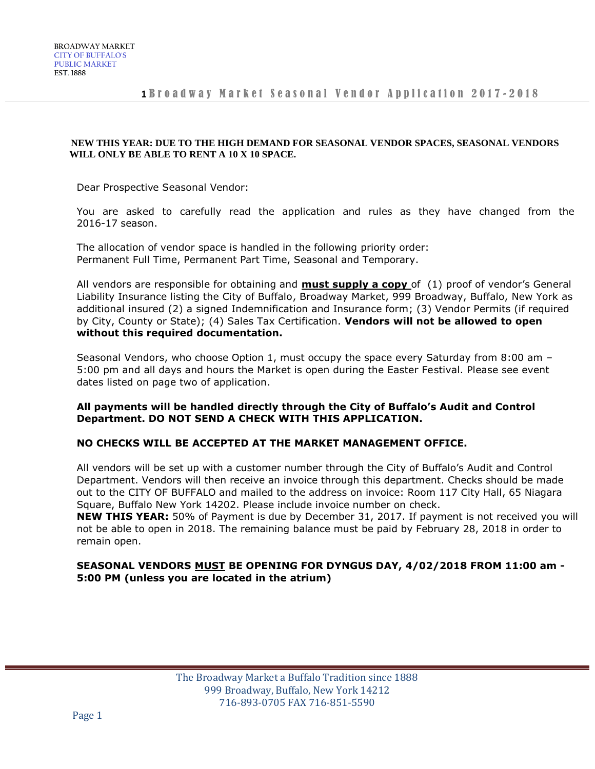#### **NEW THIS YEAR: DUE TO THE HIGH DEMAND FOR SEASONAL VENDOR SPACES, SEASONAL VENDORS WILL ONLY BE ABLE TO RENT A 10 X 10 SPACE.**

Dear Prospective Seasonal Vendor:

You are asked to carefully read the application and rules as they have changed from the 2016-17 season.

The allocation of vendor space is handled in the following priority order: Permanent Full Time, Permanent Part Time, Seasonal and Temporary.

All vendors are responsible for obtaining and **must supply a copy** of (1) proof of vendor's General Liability Insurance listing the City of Buffalo, Broadway Market, 999 Broadway, Buffalo, New York as additional insured (2) a signed Indemnification and Insurance form; (3) Vendor Permits (if required by City, County or State); (4) Sales Tax Certification. **Vendors will not be allowed to open without this required documentation.**

Seasonal Vendors, who choose Option 1, must occupy the space every Saturday from 8:00 am – 5:00 pm and all days and hours the Market is open during the Easter Festival. Please see event dates listed on page two of application.

## **All payments will be handled directly through the City of Buffalo's Audit and Control Department. DO NOT SEND A CHECK WITH THIS APPLICATION.**

## **NO CHECKS WILL BE ACCEPTED AT THE MARKET MANAGEMENT OFFICE.**

All vendors will be set up with a customer number through the City of Buffalo's Audit and Control Department. Vendors will then receive an invoice through this department. Checks should be made out to the CITY OF BUFFALO and mailed to the address on invoice: Room 117 City Hall, 65 Niagara Square, Buffalo New York 14202. Please include invoice number on check.

**NEW THIS YEAR:** 50% of Payment is due by December 31, 2017. If payment is not received you will not be able to open in 2018. The remaining balance must be paid by February 28, 2018 in order to remain open.

# **SEASONAL VENDORS MUST BE OPENING FOR DYNGUS DAY, 4/02/2018 FROM 11:00 am - 5:00 PM (unless you are located in the atrium)**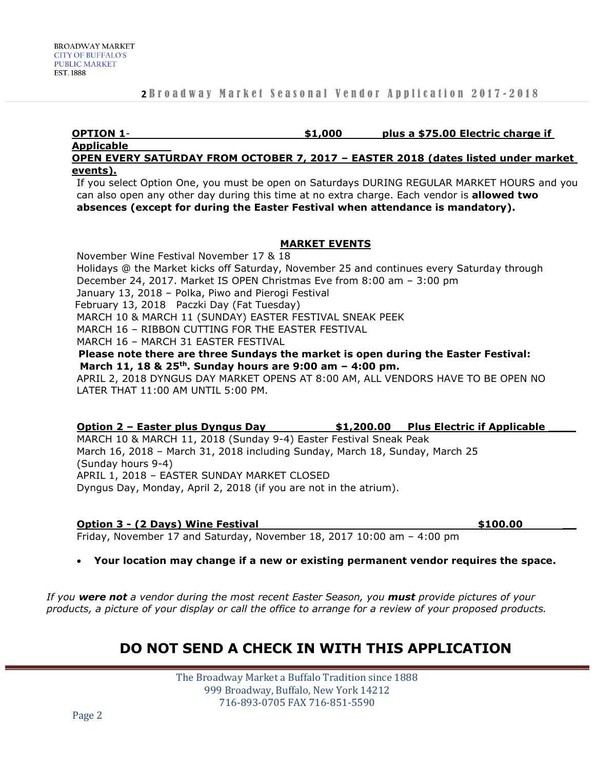#### **OPTION 1**- **\$1,000 plus a \$75.00 Electric charge if Applicable**

**OPEN EVERY SATURDAY FROM OCTOBER 7, 2017 – EASTER 2018 (dates listed under market events).**

If you select Option One, you must be open on Saturdays DURING REGULAR MARKET HOURS and you can also open any other day during this time at no extra charge. Each vendor is **allowed two absences (except for during the Easter Festival when attendance is mandatory).**

## **MARKET EVENTS**

November Wine Festival November 17 & 18 Holidays @ the Market kicks off Saturday, November 25 and continues every Saturday through December 24, 2017. Market IS OPEN Christmas Eve from 8:00 am – 3:00 pm January 13, 2018 – Polka, Piwo and Pierogi Festival February 13, 2018 Paczki Day (Fat Tuesday) MARCH 10 & MARCH 11 (SUNDAY) EASTER FESTIVAL SNEAK PEEK MARCH 16 – RIBBON CUTTING FOR THE EASTER FESTIVAL MARCH 16 – MARCH 31 EASTER FESTIVAL **Please note there are three Sundays the market is open during the Easter Festival: March 11, 18 & 25th. Sunday hours are 9:00 am – 4:00 pm.** APRIL 2, 2018 DYNGUS DAY MARKET OPENS AT 8:00 AM, ALL VENDORS HAVE TO BE OPEN NO LATER THAT 11:00 AM UNTIL 5:00 PM.

## **Option 2 – Easter plus Dyngus Day \$1,200.00 Plus Electric if Applicable \_\_\_\_**

MARCH 10 & MARCH 11, 2018 (Sunday 9-4) Easter Festival Sneak Peak March 16, 2018 – March 31, 2018 including Sunday, March 18, Sunday, March 25 (Sunday hours 9-4) APRIL 1, 2018 – EASTER SUNDAY MARKET CLOSED Dyngus Day, Monday, April 2, 2018 (if you are not in the atrium).

#### **Option 3 - (2 Days) Wine Festival \$100.00 \_\_**

Friday, November 17 and Saturday, November 18, 2017 10:00 am – 4:00 pm

## **Your location may change if a new or existing permanent vendor requires the space.**

*If you were not a vendor during the most recent Easter Season, you must provide pictures of your products, a picture of your display or call the office to arrange for a review of your proposed products.*

# **DO NOT SEND A CHECK IN WITH THIS APPLICATION**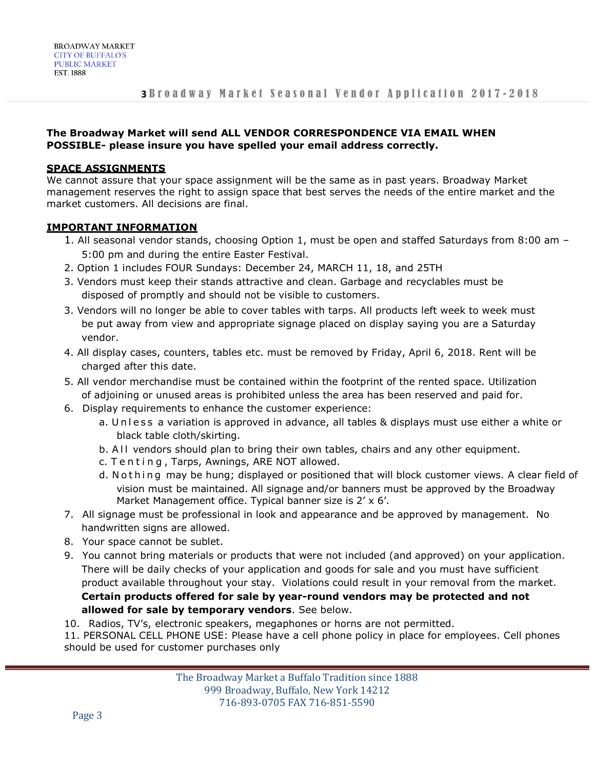# **The Broadway Market will send ALL VENDOR CORRESPONDENCE VIA EMAIL WHEN POSSIBLE- please insure you have spelled your email address correctly.**

# **SPACE ASSIGNMENTS**

We cannot assure that your space assignment will be the same as in past years. Broadway Market management reserves the right to assign space that best serves the needs of the entire market and the market customers. All decisions are final.

# **IMPORTANT INFORMATION**

- 1. All seasonal vendor stands, choosing Option 1, must be open and staffed Saturdays from 8:00 am 5:00 pm and during the entire Easter Festival.
- 2. Option 1 includes FOUR Sundays: December 24, MARCH 11, 18, and 25TH
- 3. Vendors must keep their stands attractive and clean. Garbage and recyclables must be disposed of promptly and should not be visible to customers.
- 3. Vendors will no longer be able to cover tables with tarps. All products left week to week must be put away from view and appropriate signage placed on display saying you are a Saturday vendor.
- 4. All display cases, counters, tables etc. must be removed by Friday, April 6, 2018. Rent will be charged after this date.
- 5. All vendor merchandise must be contained within the footprint of the rented space. Utilization of adjoining or unused areas is prohibited unless the area has been reserved and paid for.
- 6. Display requirements to enhance the customer experience:
	- a. Un l ess a variation is approved in advance, all tables & displays must use either a white or black table cloth/skirting.
	- b. All vendors should plan to bring their own tables, chairs and any other equipment.
	- c. Tenting, Tarps, Awnings, ARE NOT allowed.
	- d. Nothing may be hung; displayed or positioned that will block customer views. A clear field of vision must be maintained. All signage and/or banners must be approved by the Broadway Market Management office. Typical banner size is 2' x 6'.
- 7. All signage must be professional in look and appearance and be approved by management. No handwritten signs are allowed.
- 8. Your space cannot be sublet.
- 9. You cannot bring materials or products that were not included (and approved) on your application. There will be daily checks of your application and goods for sale and you must have sufficient product available throughout your stay. Violations could result in your removal from the market. **Certain products offered for sale by year-round vendors may be protected and not allowed for sale by temporary vendors**. See below.
- 10. Radios, TV's, electronic speakers, megaphones or horns are not permitted.

11. PERSONAL CELL PHONE USE: Please have a cell phone policy in place for employees. Cell phones should be used for customer purchases only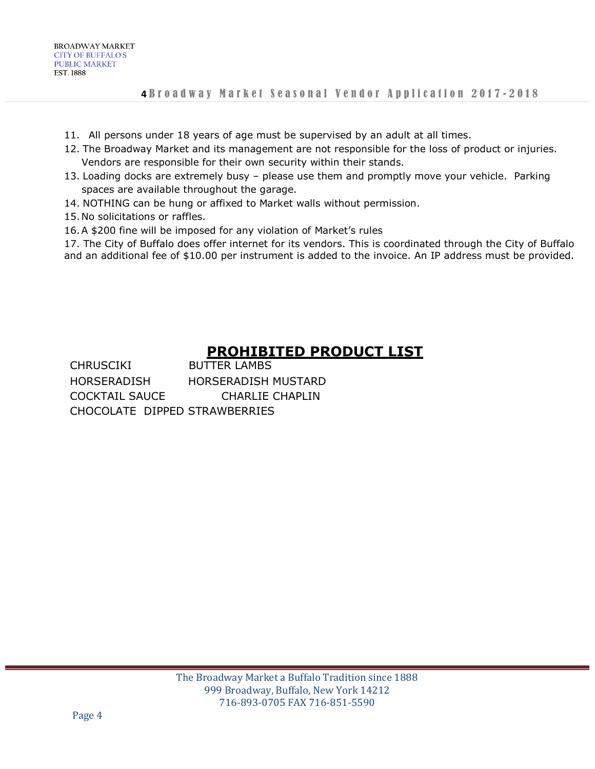- 11. All persons under 18 years of age must be supervised by an adult at all times.
- 12. The Broadway Market and its management are not responsible for the loss of product or injuries. Vendors are responsible for their own security within their stands.
- 13. Loading docks are extremely busy please use them and promptly move your vehicle. Parking spaces are available throughout the garage.
- 14. NOTHING can be hung or affixed to Market walls without permission.
- 15.No solicitations or raffles.
- 16.A \$200 fine will be imposed for any violation of Market's rules

17. The City of Buffalo does offer internet for its vendors. This is coordinated through the City of Buffalo and an additional fee of \$10.00 per instrument is added to the invoice. An IP address must be provided.

# **PROHIBITED PRODUCT LIST**

CHRUSCIKI BUTTER LAMBS HORSERADISH HORSERADISH MUSTARD COCKTAIL SAUCE CHARLIE CHAPLIN CHOCOLATE DIPPED STRAWBERRIES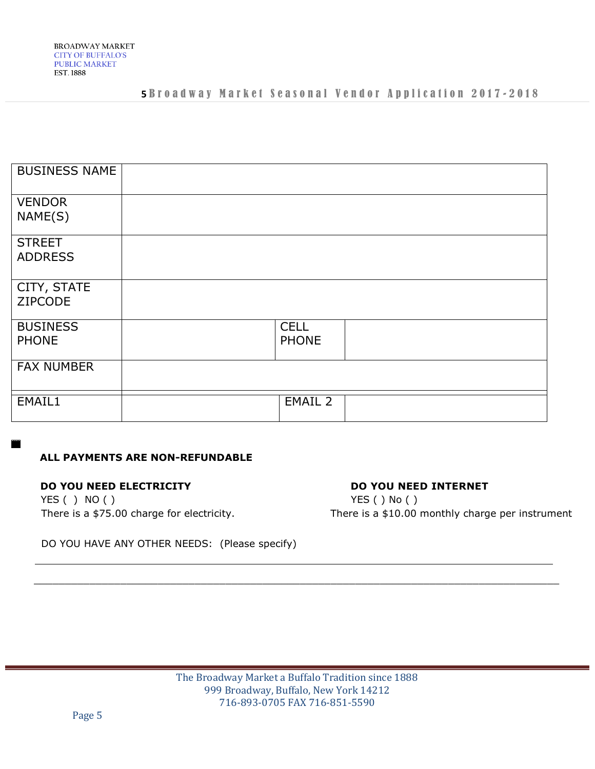# 5**Broadway Market Seasonal Vendor Application 2017-2018**

| <b>BUSINESS NAME</b> |              |  |
|----------------------|--------------|--|
| <b>VENDOR</b>        |              |  |
| NAME(S)              |              |  |
| <b>STREET</b>        |              |  |
| <b>ADDRESS</b>       |              |  |
| CITY, STATE          |              |  |
| ZIPCODE              |              |  |
| <b>BUSINESS</b>      | <b>CELL</b>  |  |
| <b>PHONE</b>         | <b>PHONE</b> |  |
| <b>FAX NUMBER</b>    |              |  |
| EMAIL1               | EMAIL 2      |  |
|                      |              |  |

# **ALL PAYMENTS ARE NON-REFUNDABLE**

## **DO YOU NEED ELECTRICITY** DO YOU NEED INTERNET

YES ( ) NO ( ) YES ( ) No ( )

There is a \$75.00 charge for electricity. There is a \$10.00 monthly charge per instrument

DO YOU HAVE ANY OTHER NEEDS: (Please specify)

 $\mathcal{L}_\text{max} = \frac{1}{2} \sum_{i=1}^{n} \frac{1}{2} \sum_{i=1}^{n} \frac{1}{2} \sum_{i=1}^{n} \frac{1}{2} \sum_{i=1}^{n} \frac{1}{2} \sum_{i=1}^{n} \frac{1}{2} \sum_{i=1}^{n} \frac{1}{2} \sum_{i=1}^{n} \frac{1}{2} \sum_{i=1}^{n} \frac{1}{2} \sum_{i=1}^{n} \frac{1}{2} \sum_{i=1}^{n} \frac{1}{2} \sum_{i=1}^{n} \frac{1}{2} \sum_{i=1}^{n} \frac{1$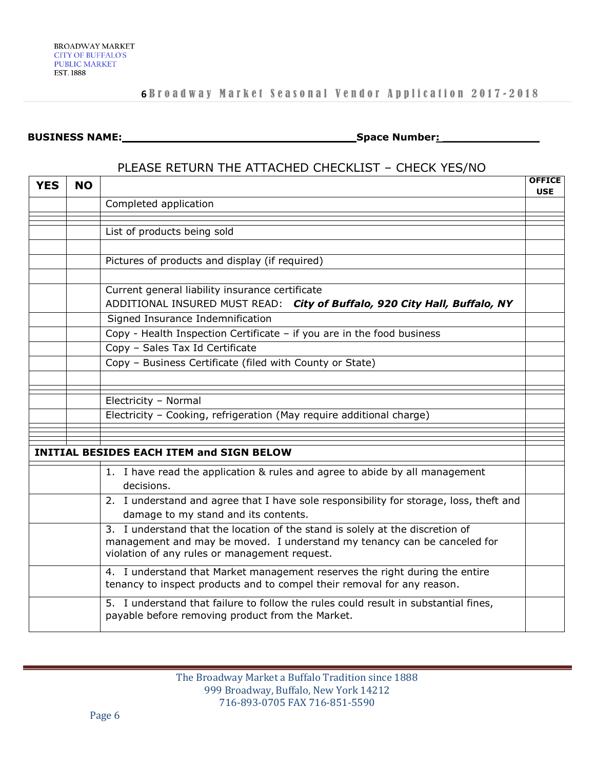# 6**Broadway Market Seasonal Vendor Application 2017-2018**

#### **BUSINESS NAME: \_\_\_\_\_\_\_\_\_\_\_\_\_\_\_\_\_\_\_\_\_\_\_\_\_\_\_\_\_\_\_\_ Space Number: \_\_\_\_\_\_\_\_\_\_\_\_\_\_**

# PLEASE RETURN THE ATTACHED CHECKLIST – CHECK YES/NO

| <b>YES</b> | <b>NO</b> |                                                                                                                                                                                                            | <b>OFFICE</b><br><b>USE</b> |
|------------|-----------|------------------------------------------------------------------------------------------------------------------------------------------------------------------------------------------------------------|-----------------------------|
|            |           | Completed application                                                                                                                                                                                      |                             |
|            |           |                                                                                                                                                                                                            |                             |
|            |           | List of products being sold                                                                                                                                                                                |                             |
|            |           |                                                                                                                                                                                                            |                             |
|            |           | Pictures of products and display (if required)                                                                                                                                                             |                             |
|            |           | Current general liability insurance certificate                                                                                                                                                            |                             |
|            |           | ADDITIONAL INSURED MUST READ: City of Buffalo, 920 City Hall, Buffalo, NY                                                                                                                                  |                             |
|            |           | Signed Insurance Indemnification                                                                                                                                                                           |                             |
|            |           | Copy - Health Inspection Certificate - if you are in the food business                                                                                                                                     |                             |
|            |           | Copy - Sales Tax Id Certificate                                                                                                                                                                            |                             |
|            |           | Copy - Business Certificate (filed with County or State)                                                                                                                                                   |                             |
|            |           |                                                                                                                                                                                                            |                             |
|            |           | Electricity - Normal                                                                                                                                                                                       |                             |
|            |           | Electricity - Cooking, refrigeration (May require additional charge)                                                                                                                                       |                             |
|            |           |                                                                                                                                                                                                            |                             |
|            |           | <b>INITIAL BESIDES EACH ITEM and SIGN BELOW</b>                                                                                                                                                            |                             |
|            |           | 1. I have read the application & rules and agree to abide by all management<br>decisions.                                                                                                                  |                             |
|            |           | 2. I understand and agree that I have sole responsibility for storage, loss, theft and<br>damage to my stand and its contents.                                                                             |                             |
|            |           | 3. I understand that the location of the stand is solely at the discretion of<br>management and may be moved. I understand my tenancy can be canceled for<br>violation of any rules or management request. |                             |
|            |           | 4. I understand that Market management reserves the right during the entire<br>tenancy to inspect products and to compel their removal for any reason.                                                     |                             |
|            |           | 5. I understand that failure to follow the rules could result in substantial fines,<br>payable before removing product from the Market.                                                                    |                             |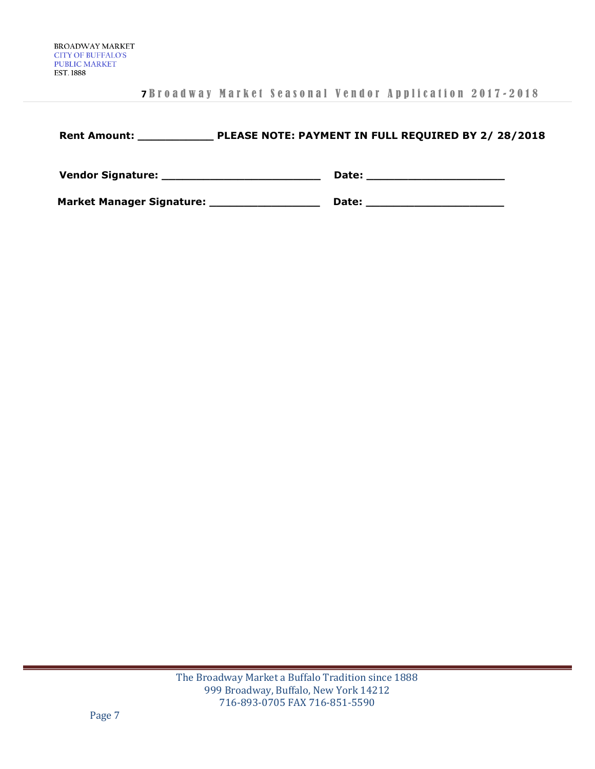# **7** B r o a d w a y M a r k e t S e a s o n a l V e n d o r A p p l i c a t i o n 2017 - 2018

| <b>Rent Amount:</b>                                                                                             | PLEASE NOTE: PAYMENT IN FULL REQUIRED BY 2/ 28/2018 |  |
|-----------------------------------------------------------------------------------------------------------------|-----------------------------------------------------|--|
| Vendor Signature: New York Changes and School and School and School and School and School and School and School | Date:                                               |  |
| <b>Market Manager Signature:</b>                                                                                | Date:                                               |  |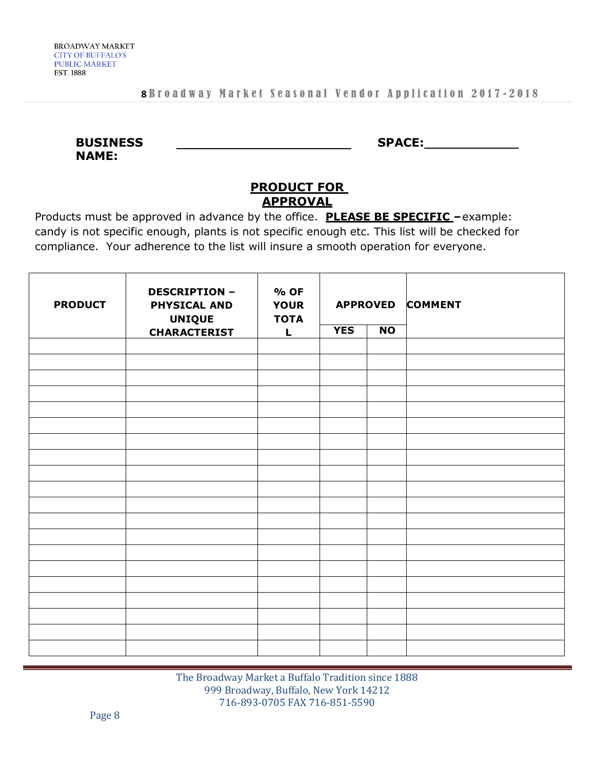| <b>BUSINESS</b> |  |  |
|-----------------|--|--|
| <b>NAME:</b>    |  |  |

**SPACE:**

# **PRODUCT FOR APPROVAL**

Products must be approved in advance by the office. **PLEASE BE SPECIFIC –**example: candy is not specific enough, plants is not specific enough etc. This list will be checked for compliance. Your adherence to the list will insure a smooth operation for everyone.

| <b>PRODUCT</b> | <b>DESCRIPTION -</b><br><b>PHYSICAL AND</b><br><b>UNIQUE</b> | % OF<br><b>YOUR</b><br><b>TOTA</b> | <b>APPROVED</b> |                |  |  | <b>COMMENT</b> |
|----------------|--------------------------------------------------------------|------------------------------------|-----------------|----------------|--|--|----------------|
|                | <b>CHARACTERIST</b>                                          | L                                  | <b>YES</b>      | N <sub>O</sub> |  |  |                |
|                |                                                              |                                    |                 |                |  |  |                |
|                |                                                              |                                    |                 |                |  |  |                |
|                |                                                              |                                    |                 |                |  |  |                |
|                |                                                              |                                    |                 |                |  |  |                |
|                |                                                              |                                    |                 |                |  |  |                |
|                |                                                              |                                    |                 |                |  |  |                |
|                |                                                              |                                    |                 |                |  |  |                |
|                |                                                              |                                    |                 |                |  |  |                |
|                |                                                              |                                    |                 |                |  |  |                |
|                |                                                              |                                    |                 |                |  |  |                |
|                |                                                              |                                    |                 |                |  |  |                |
|                |                                                              |                                    |                 |                |  |  |                |
|                |                                                              |                                    |                 |                |  |  |                |
|                |                                                              |                                    |                 |                |  |  |                |
|                |                                                              |                                    |                 |                |  |  |                |
|                |                                                              |                                    |                 |                |  |  |                |
|                |                                                              |                                    |                 |                |  |  |                |
|                |                                                              |                                    |                 |                |  |  |                |
|                |                                                              |                                    |                 |                |  |  |                |
|                |                                                              |                                    |                 |                |  |  |                |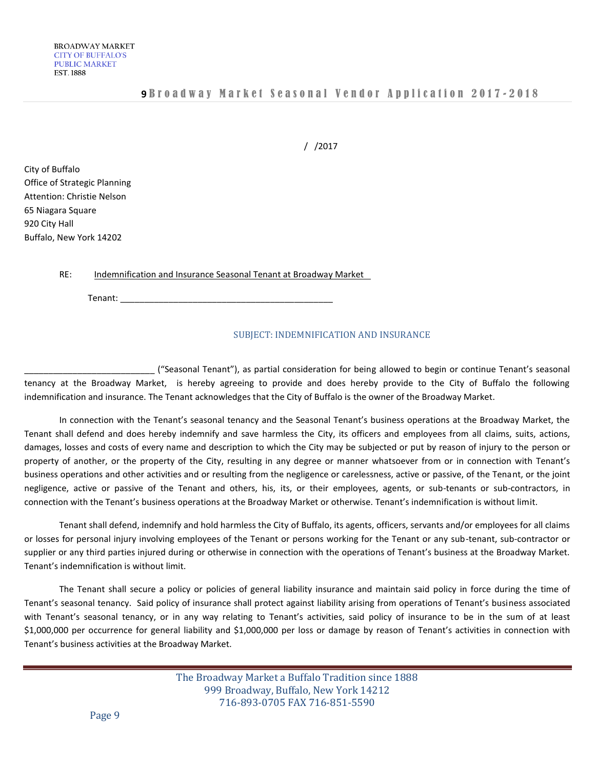/ /2017

City of Buffalo Office of Strategic Planning Attention: Christie Nelson 65 Niagara Square 920 City Hall Buffalo, New York 14202

RE: Indemnification and Insurance Seasonal Tenant at Broadway Market

Tenant: \_\_\_\_\_\_\_\_\_\_\_\_\_\_\_\_\_\_\_\_\_\_\_\_\_\_\_\_\_\_\_\_\_\_\_\_\_\_\_\_\_\_\_\_

## SUBJECT: INDEMNIFICATION AND INSURANCE

\_\_\_\_\_\_\_\_\_\_\_\_\_\_\_\_\_\_\_\_\_\_\_\_\_\_\_ ("Seasonal Tenant"), as partial consideration for being allowed to begin or continue Tenant's seasonal tenancy at the Broadway Market, is hereby agreeing to provide and does hereby provide to the City of Buffalo the following indemnification and insurance. The Tenant acknowledges that the City of Buffalo is the owner of the Broadway Market.

In connection with the Tenant's seasonal tenancy and the Seasonal Tenant's business operations at the Broadway Market, the Tenant shall defend and does hereby indemnify and save harmless the City, its officers and employees from all claims, suits, actions, damages, losses and costs of every name and description to which the City may be subjected or put by reason of injury to the person or property of another, or the property of the City, resulting in any degree or manner whatsoever from or in connection with Tenant's business operations and other activities and or resulting from the negligence or carelessness, active or passive, of the Tenant, or the joint negligence, active or passive of the Tenant and others, his, its, or their employees, agents, or sub-tenants or sub-contractors, in connection with the Tenant's business operations at the Broadway Market or otherwise. Tenant's indemnification is without limit.

Tenant shall defend, indemnify and hold harmless the City of Buffalo, its agents, officers, servants and/or employees for all claims or losses for personal injury involving employees of the Tenant or persons working for the Tenant or any sub-tenant, sub-contractor or supplier or any third parties injured during or otherwise in connection with the operations of Tenant's business at the Broadway Market. Tenant's indemnification is without limit.

The Tenant shall secure a policy or policies of general liability insurance and maintain said policy in force during the time of Tenant's seasonal tenancy. Said policy of insurance shall protect against liability arising from operations of Tenant's business associated with Tenant's seasonal tenancy, or in any way relating to Tenant's activities, said policy of insurance to be in the sum of at least \$1,000,000 per occurrence for general liability and \$1,000,000 per loss or damage by reason of Tenant's activities in connection with Tenant's business activities at the Broadway Market.